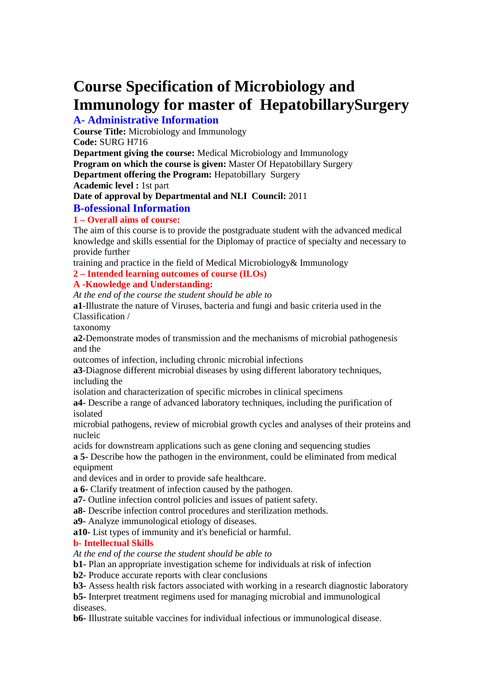# **Course Specification of Microbiology and Immunology for master of HepatobillarySurgery**

# **A- Administrative Information**

**Course Title:** Microbiology and Immunology **Code:** SURG H716

**Department giving the course:** Medical Microbiology and Immunology

**Program on which the course is given:** Master Of Hepatobillary Surgery

**Department offering the Program:** Hepatobillary Surgery

**Academic level :** 1st part

**Date of approval by Departmental and NLI Council:** 2011

# **B-ofessional Information**

# **1 – Overall aims of course:**

The aim of this course is to provide the postgraduate student with the advanced medical knowledge and skills essential for the Diplomay of practice of specialty and necessary to provide further

training and practice in the field of Medical Microbiology& Immunology

**2 – Intended learning outcomes of course (ILOs)**

#### **A -Knowledge and Understanding:**

*At the end of the course the student should be able to*

**a1**-Illustrate the nature of Viruses, bacteria and fungi and basic criteria used in the Classification /

taxonomy

**a2**-Demonstrate modes of transmission and the mechanisms of microbial pathogenesis and the

outcomes of infection, including chronic microbial infections

**a3**-Diagnose different microbial diseases by using different laboratory techniques, including the

isolation and characterization of specific microbes in clinical specimens

**a4**- Describe a range of advanced laboratory techniques, including the purification of isolated

microbial pathogens, review of microbial growth cycles and analyses of their proteins and nucleic

acids for downstream applications such as gene cloning and sequencing studies

**a 5-** Describe how the pathogen in the environment, could be eliminated from medical equipment

and devices and in order to provide safe healthcare.

**a 6-** Clarify treatment of infection caused by the pathogen.

**a7-** Outline infection control policies and issues of patient safety.

**a8-** Describe infection control procedures and sterilization methods.

**a9-** Analyze immunological etiology of diseases.

**a10-** List types of immunity and it's beneficial or harmful.

# **b- Intellectual Skills**

*At the end of the course the student should be able to*

**b1-** Plan an appropriate investigation scheme for individuals at risk of infection

**b2-** Produce accurate reports with clear conclusions

**b3-** Assess health risk factors associated with working in a research diagnostic laboratory

**b5-** Interpret treatment regimens used for managing microbial and immunological diseases.

**b6-** Illustrate suitable vaccines for individual infectious or immunological disease.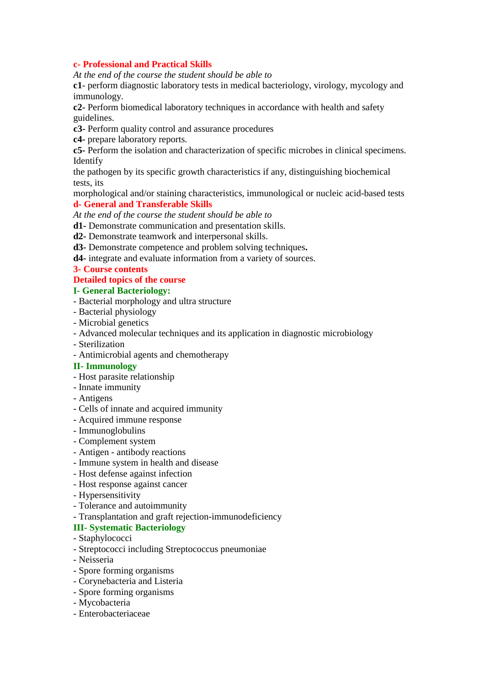#### **c- Professional and Practical Skills**

*At the end of the course the student should be able to*

**c1**- perform diagnostic laboratory tests in medical bacteriology, virology, mycology and immunology.

**c2-** Perform biomedical laboratory techniques in accordance with health and safety guidelines.

- **c3-** Perform quality control and assurance procedures
- **c4-** prepare laboratory reports.

**c5-** Perform the isolation and characterization of specific microbes in clinical specimens. Identify

the pathogen by its specific growth characteristics if any, distinguishing biochemical tests, its

morphological and/or staining characteristics, immunological or nucleic acid-based tests

#### **d- General and Transferable Skills**

*At the end of the course the student should be able to*

- **d1-** Demonstrate communication and presentation skills.
- **d2-** Demonstrate teamwork and interpersonal skills.
- **d3-** Demonstrate competence and problem solving techniques**.**
- **d4-** integrate and evaluate information from a variety of sources.
- **3- Course contents**

#### **Detailed topics of the course**

#### **I- General Bacteriology:**

- Bacterial morphology and ultra structure
- Bacterial physiology
- Microbial genetics
- Advanced molecular techniques and its application in diagnostic microbiology
- Sterilization
- Antimicrobial agents and chemotherapy
- **II- Immunology**
- Host parasite relationship
- Innate immunity
- Antigens
- Cells of innate and acquired immunity
- Acquired immune response
- Immunoglobulins
- Complement system
- Antigen antibody reactions
- Immune system in health and disease
- Host defense against infection
- Host response against cancer
- Hypersensitivity
- Tolerance and autoimmunity
- Transplantation and graft rejection-immunodeficiency

#### **III- Systematic Bacteriology**

- Staphylococci
- Streptococci including Streptococcus pneumoniae
- Neisseria
- Spore forming organisms
- Corynebacteria and Listeria
- Spore forming organisms
- Mycobacteria
- Enterobacteriaceae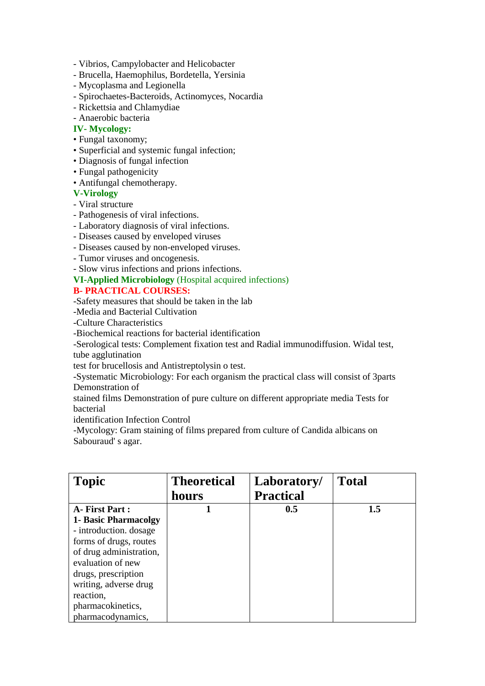- Vibrios, Campylobacter and Helicobacter
- Brucella, Haemophilus, Bordetella, Yersinia
- Mycoplasma and Legionella
- Spirochaetes-Bacteroids, Actinomyces, Nocardia
- Rickettsia and Chlamydiae
- Anaerobic bacteria

#### **IV- Mycology:**

- Fungal taxonomy;
- Superficial and systemic fungal infection;
- Diagnosis of fungal infection
- Fungal pathogenicity
- Antifungal chemotherapy.

# **V-Virology**

- Viral structure
- Pathogenesis of viral infections.
- Laboratory diagnosis of viral infections.
- Diseases caused by enveloped viruses
- Diseases caused by non-enveloped viruses.
- Tumor viruses and oncogenesis.
- Slow virus infections and prions infections.

# **VI-Applied Microbiology** (Hospital acquired infections)

# **B- PRACTICAL COURSES:**

-Safety measures that should be taken in the lab

-Media and Bacterial Cultivation

-Culture Characteristics

-Biochemical reactions for bacterial identification

-Serological tests: Complement fixation test and Radial immunodiffusion. Widal test, tube agglutination

test for brucellosis and Antistreptolysin o test.

-Systematic Microbiology: For each organism the practical class will consist of 3parts Demonstration of

stained films Demonstration of pure culture on different appropriate media Tests for bacterial

identification Infection Control

-Mycology: Gram staining of films prepared from culture of Candida albicans on Sabouraud' s agar.

| <b>Topic</b>                | <b>Theoretical</b> | Laboratory/      | <b>Total</b> |
|-----------------------------|--------------------|------------------|--------------|
|                             | hours              | <b>Practical</b> |              |
| A- First Part:              |                    | 0.5              | 1.5          |
| <b>1- Basic Pharmacolgy</b> |                    |                  |              |
| - introduction. dosage      |                    |                  |              |
| forms of drugs, routes      |                    |                  |              |
| of drug administration,     |                    |                  |              |
| evaluation of new           |                    |                  |              |
| drugs, prescription         |                    |                  |              |
| writing, adverse drug       |                    |                  |              |
| reaction,                   |                    |                  |              |
| pharmacokinetics,           |                    |                  |              |
| pharmacodynamics,           |                    |                  |              |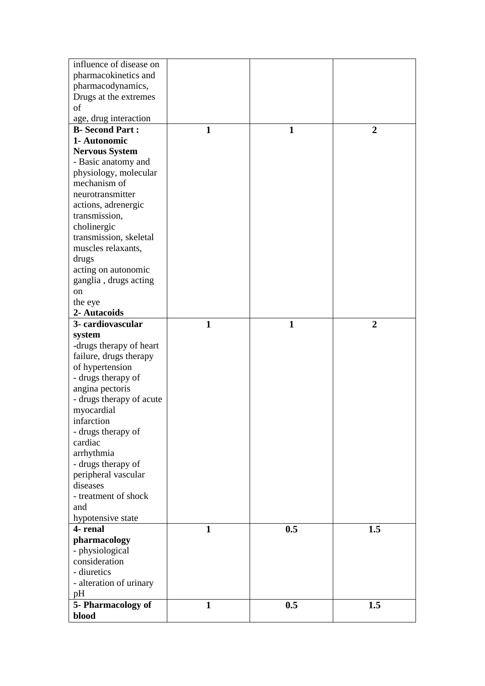| influence of disease on          |              |              |                |
|----------------------------------|--------------|--------------|----------------|
| pharmacokinetics and             |              |              |                |
| pharmacodynamics,                |              |              |                |
| Drugs at the extremes            |              |              |                |
| of                               |              |              |                |
| age, drug interaction            |              |              |                |
| <b>B-Second Part:</b>            | $\mathbf{1}$ | $\mathbf{1}$ | $\overline{2}$ |
| 1- Autonomic                     |              |              |                |
| <b>Nervous System</b>            |              |              |                |
| - Basic anatomy and              |              |              |                |
| physiology, molecular            |              |              |                |
| mechanism of                     |              |              |                |
| neurotransmitter                 |              |              |                |
| actions, adrenergic              |              |              |                |
| transmission,                    |              |              |                |
| cholinergic                      |              |              |                |
| transmission, skeletal           |              |              |                |
| muscles relaxants,               |              |              |                |
| drugs                            |              |              |                |
| acting on autonomic              |              |              |                |
| ganglia, drugs acting            |              |              |                |
| on                               |              |              |                |
| the eye                          |              |              |                |
| 2- Autacoids                     |              |              |                |
| 3- cardiovascular                | $\mathbf{1}$ | $\mathbf{1}$ | $\overline{2}$ |
| system                           |              |              |                |
| -drugs therapy of heart          |              |              |                |
| failure, drugs therapy           |              |              |                |
| of hypertension                  |              |              |                |
| - drugs therapy of               |              |              |                |
|                                  |              |              |                |
| angina pectoris                  |              |              |                |
| - drugs therapy of acute         |              |              |                |
| myocardial<br>infarction         |              |              |                |
|                                  |              |              |                |
| - drugs therapy of               |              |              |                |
| cardiac                          |              |              |                |
| arrhythmia                       |              |              |                |
| - drugs therapy of               |              |              |                |
| peripheral vascular              |              |              |                |
| diseases<br>- treatment of shock |              |              |                |
|                                  |              |              |                |
| and                              |              |              |                |
| hypotensive state                |              |              |                |
| 4- renal                         | 1            | 0.5          | 1.5            |
| pharmacology                     |              |              |                |
| - physiological                  |              |              |                |
| consideration                    |              |              |                |
| - diuretics                      |              |              |                |
| - alteration of urinary          |              |              |                |
| pH                               |              |              |                |
| 5- Pharmacology of               | $\mathbf{1}$ | 0.5          | 1.5            |
| blood                            |              |              |                |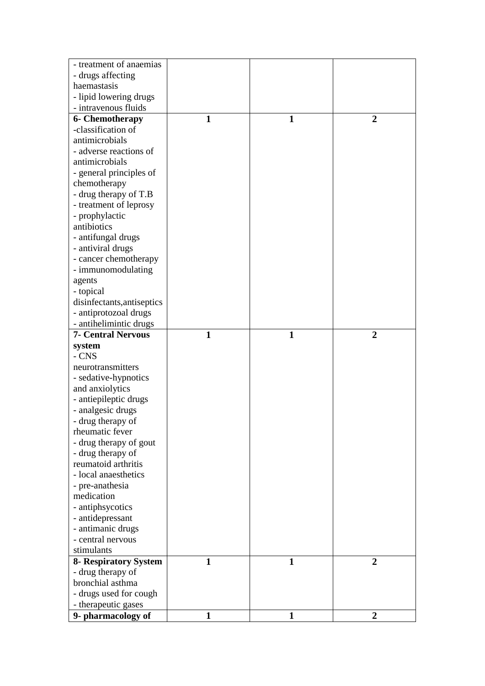| - treatment of anaemias               |              |              |                |
|---------------------------------------|--------------|--------------|----------------|
| - drugs affecting                     |              |              |                |
| haemastasis                           |              |              |                |
| - lipid lowering drugs                |              |              |                |
| - intravenous fluids                  |              |              |                |
| <b>6- Chemotherapy</b>                | 1            | 1            | $\overline{2}$ |
| -classification of                    |              |              |                |
| antimicrobials                        |              |              |                |
| - adverse reactions of                |              |              |                |
| antimicrobials                        |              |              |                |
| - general principles of               |              |              |                |
| chemotherapy                          |              |              |                |
| - drug therapy of T.B                 |              |              |                |
| - treatment of leprosy                |              |              |                |
| - prophylactic                        |              |              |                |
| antibiotics                           |              |              |                |
| - antifungal drugs                    |              |              |                |
| - antiviral drugs                     |              |              |                |
| - cancer chemotherapy                 |              |              |                |
| - immunomodulating                    |              |              |                |
| agents                                |              |              |                |
| - topical                             |              |              |                |
| disinfectants, antiseptics            |              |              |                |
| - antiprotozoal drugs                 |              |              |                |
| - antihelimintic drugs                |              |              |                |
| <b>7- Central Nervous</b>             | $\mathbf{1}$ | $\mathbf{1}$ | $\overline{2}$ |
| system                                |              |              |                |
| - CNS                                 |              |              |                |
| neurotransmitters                     |              |              |                |
| - sedative-hypnotics                  |              |              |                |
| and anxiolytics                       |              |              |                |
| - antiepileptic drugs                 |              |              |                |
| - analgesic drugs                     |              |              |                |
| - drug therapy of                     |              |              |                |
| rheumatic fever                       |              |              |                |
| - drug therapy of gout                |              |              |                |
| - drug therapy of                     |              |              |                |
| reumatoid arthritis                   |              |              |                |
| - local anaesthetics                  |              |              |                |
| - pre-anathesia                       |              |              |                |
| medication                            |              |              |                |
| - antiphsycotics                      |              |              |                |
| - antidepressant                      |              |              |                |
| - antimanic drugs                     |              |              |                |
| - central nervous                     |              |              |                |
| stimulants                            |              |              |                |
|                                       |              | $\mathbf{1}$ |                |
| 8- Respiratory System                 | 1            |              | $\overline{2}$ |
| - drug therapy of<br>bronchial asthma |              |              |                |
|                                       |              |              |                |
| - drugs used for cough                |              |              |                |
| - therapeutic gases                   |              |              |                |
| 9- pharmacology of                    | 1            | 1            | $\overline{2}$ |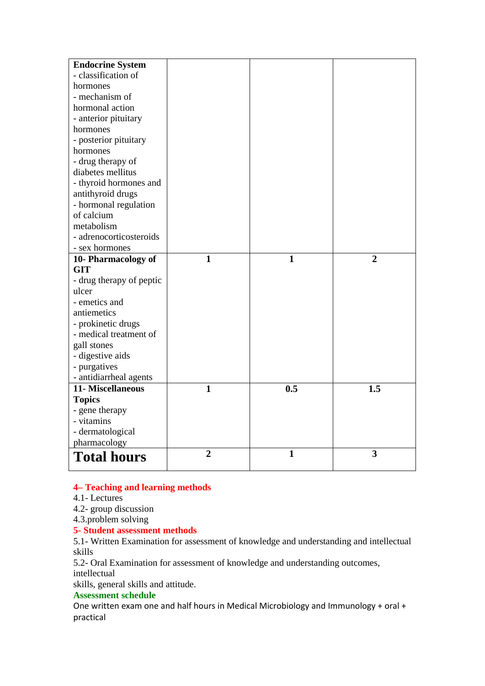| <b>Endocrine System</b>  |                |              |                |
|--------------------------|----------------|--------------|----------------|
| - classification of      |                |              |                |
| hormones                 |                |              |                |
| - mechanism of           |                |              |                |
| hormonal action          |                |              |                |
| - anterior pituitary     |                |              |                |
| hormones                 |                |              |                |
| - posterior pituitary    |                |              |                |
| hormones                 |                |              |                |
| - drug therapy of        |                |              |                |
| diabetes mellitus        |                |              |                |
| - thyroid hormones and   |                |              |                |
| antithyroid drugs        |                |              |                |
| - hormonal regulation    |                |              |                |
| of calcium               |                |              |                |
| metabolism               |                |              |                |
| - adrenocorticosteroids  |                |              |                |
| - sex hormones           |                |              |                |
| 10- Pharmacology of      | $\mathbf{1}$   | $\mathbf{1}$ | $\overline{2}$ |
| <b>GIT</b>               |                |              |                |
| - drug therapy of peptic |                |              |                |
| ulcer                    |                |              |                |
| - emetics and            |                |              |                |
| antiemetics              |                |              |                |
| - prokinetic drugs       |                |              |                |
| - medical treatment of   |                |              |                |
| gall stones              |                |              |                |
| - digestive aids         |                |              |                |
| - purgatives             |                |              |                |
| - antidiarrheal agents   |                |              |                |
| 11- Miscellaneous        | $\mathbf{1}$   | 0.5          | 1.5            |
| <b>Topics</b>            |                |              |                |
| - gene therapy           |                |              |                |
| - vitamins               |                |              |                |
| - dermatological         |                |              |                |
| pharmacology             |                |              |                |
| <b>Total hours</b>       | $\overline{2}$ | $\mathbf{1}$ | 3              |

#### **4– Teaching and learning methods**

#### 4.1- Lectures

4.2- group discussion

4.3.problem solving

# **5- Student assessment methods**

5.1- Written Examination for assessment of knowledge and understanding and intellectual skills

5.2- Oral Examination for assessment of knowledge and understanding outcomes,

intellectual

skills, general skills and attitude.

# **Assessment schedule**

One written exam one and half hours in Medical Microbiology and Immunology + oral + practical